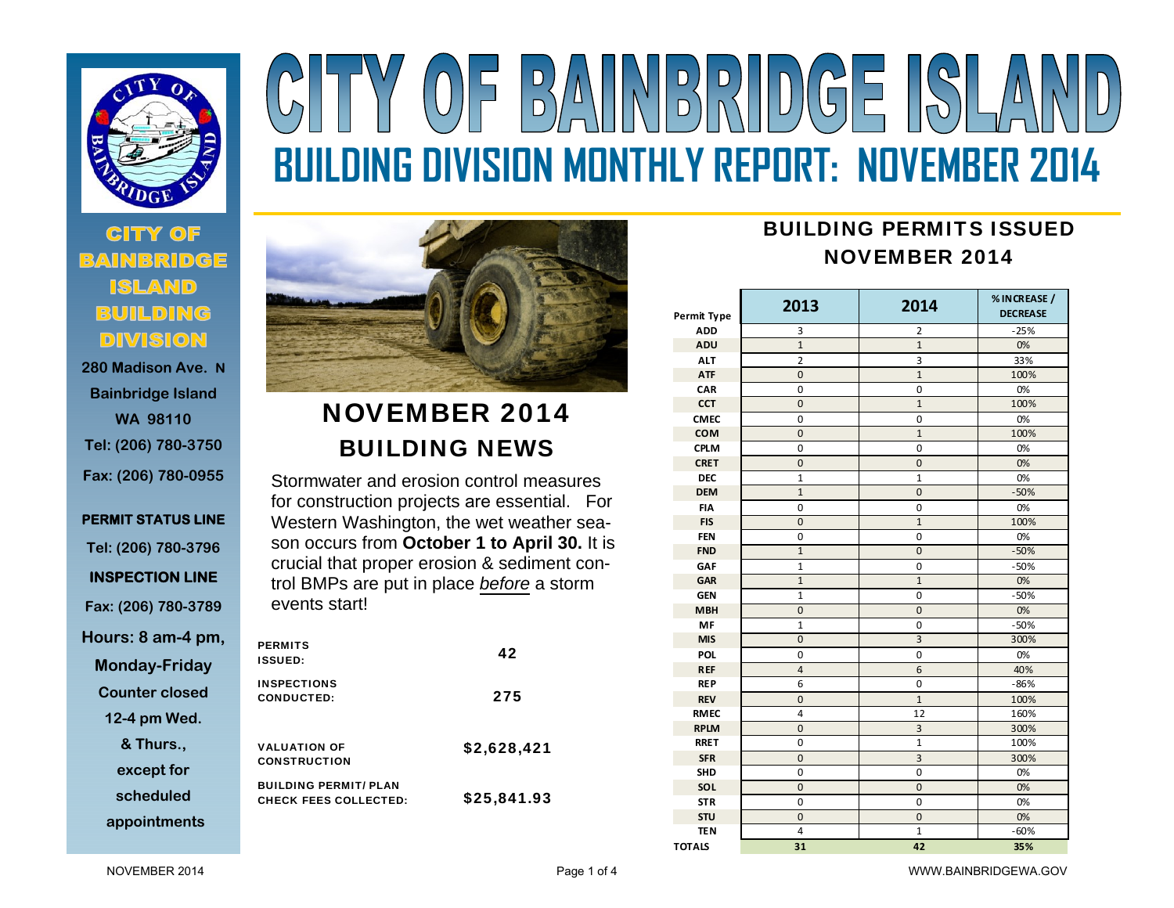

# $(0)$  =  $|B/\Lambda||N|B|R||D(G)$  =  $|(S)|/\Lambda$ **BUILDING DIVISION MONTHLY REPORT: NOVEMBER 2014**

### **CITY OF BAINBRIDGE ISLAND BUILDING DIVISION**

**280 Madison Ave. NBainbridge Island WA 98110 Tel: (206) 780-3750 Fax: (206) 780-0955** 

## **PERMIT STATUS LINE Tel: (206) 780-3796 INSPECTION LINE Fax: (206) 780-3789 Hours: 8 am-4 pm, Monday-Friday Counter closed 12-4 pm Wed. & Thurs.,**

**except for** 

**scheduled** 

**appointments**



## NOVEMBER 2014 BUILDING NEWS

Stormwater and erosion control measures for construction projects are essential. For Western Washington, the wet weather season occurs from **October 1 to April 30.** It is crucial that proper erosion & sediment control BMPs are put in place *before* a storm events start!

| <b>PERMITS</b><br><b>ISSUED:</b>                             | 42          |
|--------------------------------------------------------------|-------------|
| <b>INSPECTIONS</b><br><b>CONDUCTED:</b>                      | 275         |
| <b>VALUATION OF</b><br><b>CONSTRUCTION</b>                   | \$2,628,421 |
| <b>BUILDING PERMIT/ PLAN</b><br><b>CHECK FEES COLLECTED:</b> | \$25,841.93 |

## BUILDING PERMITS ISSUEDNOVEMBER 2014

| Permit Type   | 2013           | 2014           | % INCREASE /<br><b>DECREASE</b> |  |
|---------------|----------------|----------------|---------------------------------|--|
| <b>ADD</b>    | 3              | 2              | $-25%$                          |  |
| ADU           | $\overline{1}$ | $\overline{1}$ | 0%                              |  |
| <b>ALT</b>    | $\overline{2}$ | 3              | 33%                             |  |
| <b>ATF</b>    | $\mathbf{0}$   | $\mathbf{1}$   | 100%                            |  |
| CAR           | 0              | 0              | 0%                              |  |
| <b>CCT</b>    | $\mathbf 0$    | $\mathbf{1}$   | 100%                            |  |
| <b>CMEC</b>   | 0              | 0              | 0%                              |  |
| <b>COM</b>    | $\mathbf{0}$   | $\mathbf{1}$   | 100%                            |  |
| <b>CPLM</b>   | $\pmb{0}$      | $\mathbf 0$    | 0%                              |  |
| <b>CRET</b>   | $\overline{0}$ | $\overline{0}$ | 0%                              |  |
| <b>DEC</b>    | 1              | 1              | 0%                              |  |
| <b>DEM</b>    | $\mathbf{1}$   | $\mathbf 0$    | $-50%$                          |  |
| <b>FIA</b>    | 0              | 0              | 0%                              |  |
| <b>FIS</b>    | 0              | $\mathbf{1}$   | 100%                            |  |
| <b>FEN</b>    | 0              | 0              | 0%                              |  |
| <b>FND</b>    | $\mathbf{1}$   | $\mathbf 0$    | $-50%$                          |  |
| GAF           | $\mathbf{1}$   | 0              | $-50%$                          |  |
| GAR           | $\mathbf{1}$   | $\mathbf{1}$   | 0%                              |  |
| <b>GEN</b>    | $\overline{1}$ | $\mathbf 0$    | $-50%$                          |  |
| <b>MBH</b>    | $\overline{0}$ | $\overline{0}$ | 0%                              |  |
| MF            | $\overline{1}$ | $\mathbf 0$    | $-50%$                          |  |
| <b>MIS</b>    | $\overline{0}$ | $\overline{3}$ | 300%                            |  |
| <b>POL</b>    | $\mathbf 0$    | $\mathbf 0$    | 0%                              |  |
| <b>REF</b>    | $\overline{a}$ | 6              | 40%                             |  |
| <b>REP</b>    | 6              | 0              | $-86%$                          |  |
| <b>REV</b>    | $\mathbf 0$    | $\mathbf{1}$   | 100%                            |  |
| <b>RMEC</b>   | 4              | 12             | 160%                            |  |
| <b>RPLM</b>   | $\pmb{0}$      | 3              | 300%                            |  |
| <b>RRET</b>   | $\mathbf 0$    | $\overline{1}$ | 100%                            |  |
| <b>SFR</b>    | $\mathbf 0$    | 3              | 300%                            |  |
| <b>SHD</b>    | 0              | 0              | 0%                              |  |
| SOL           | 0              | $\mathbf 0$    | 0%                              |  |
| <b>STR</b>    | 0              | 0              | 0%                              |  |
| <b>STU</b>    | $\overline{0}$ | 0              | 0%                              |  |
| <b>TEN</b>    | 4              | $\overline{1}$ | $-60%$                          |  |
| <b>TOTALS</b> | 31             | 42             | 35%                             |  |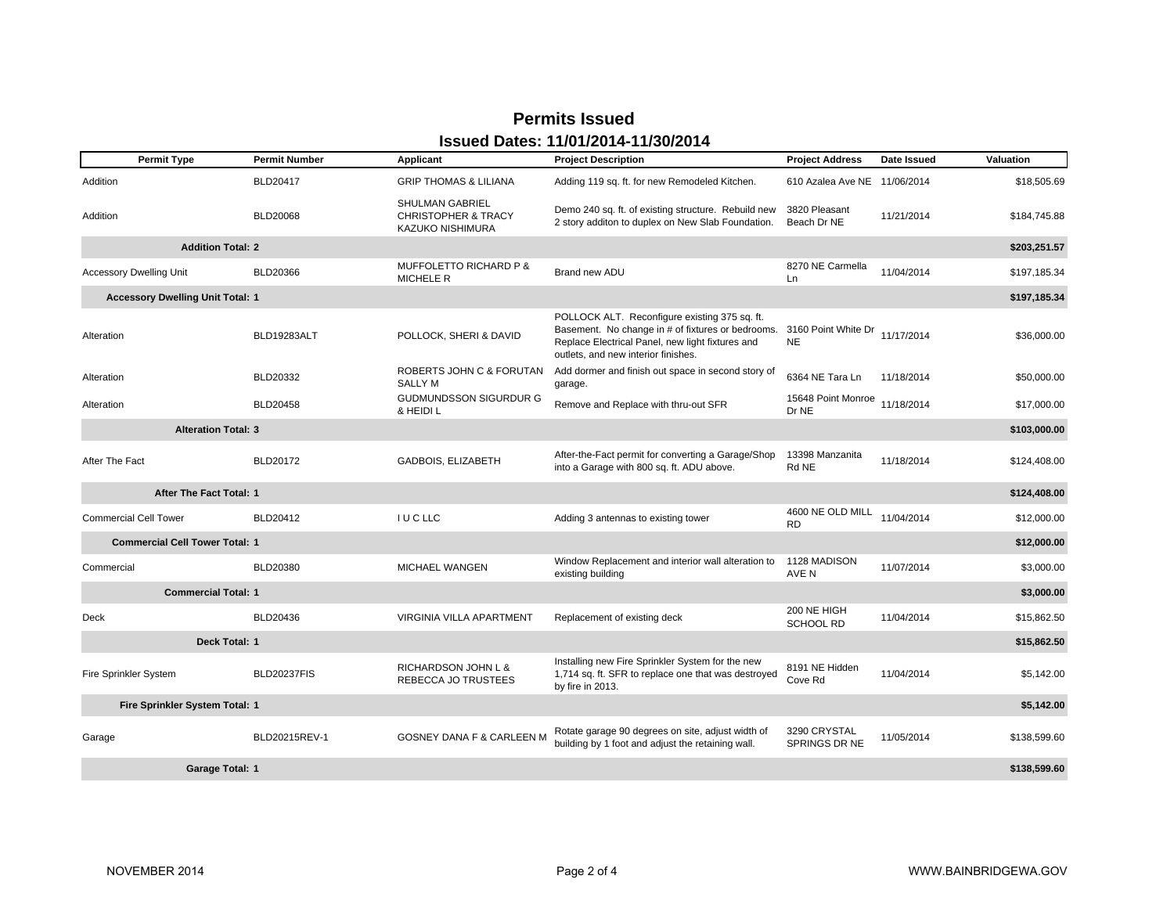#### **Permits Issued Issued Dates: 11/01/2014-11/30/2014**

| <b>Permit Type</b>                      | <b>Permit Number</b> | Applicant                                                                    | <b>Project Description</b>                                                                                                                                                                                        | <b>Project Address</b>               | Date Issued | Valuation    |
|-----------------------------------------|----------------------|------------------------------------------------------------------------------|-------------------------------------------------------------------------------------------------------------------------------------------------------------------------------------------------------------------|--------------------------------------|-------------|--------------|
| Addition                                | <b>BLD20417</b>      | <b>GRIP THOMAS &amp; LILIANA</b>                                             | Adding 119 sq. ft. for new Remodeled Kitchen.                                                                                                                                                                     | 610 Azalea Ave NE 11/06/2014         |             | \$18,505.69  |
| Addition                                | <b>BLD20068</b>      | <b>SHULMAN GABRIEL</b><br><b>CHRISTOPHER &amp; TRACY</b><br>KAZUKO NISHIMURA | Demo 240 sq. ft. of existing structure. Rebuild new<br>2 story additon to duplex on New Slab Foundation.                                                                                                          | 3820 Pleasant<br>Beach Dr NE         | 11/21/2014  | \$184,745.88 |
| <b>Addition Total: 2</b>                |                      |                                                                              |                                                                                                                                                                                                                   |                                      |             | \$203,251.57 |
| <b>Accessory Dwelling Unit</b>          | BLD20366             | MUFFOLETTO RICHARD P &<br><b>MICHELE R</b>                                   | Brand new ADU                                                                                                                                                                                                     | 8270 NE Carmella<br>Ln               | 11/04/2014  | \$197,185.34 |
| <b>Accessory Dwelling Unit Total: 1</b> |                      |                                                                              |                                                                                                                                                                                                                   |                                      |             | \$197,185.34 |
| Alteration                              | BLD19283ALT          | POLLOCK, SHERI & DAVID                                                       | POLLOCK ALT. Reconfigure existing 375 sq. ft.<br>Basement. No change in # of fixtures or bedrooms. 3160 Point White Dr<br>Replace Electrical Panel, new light fixtures and<br>outlets, and new interior finishes. | <b>NE</b>                            | 11/17/2014  | \$36,000.00  |
| Alteration                              | BLD20332             | ROBERTS JOHN C & FORUTAN<br><b>SALLY M</b>                                   | Add dormer and finish out space in second story of<br>garage.                                                                                                                                                     | 6364 NE Tara Ln                      | 11/18/2014  | \$50,000.00  |
| Alteration                              | <b>BLD20458</b>      | <b>GUDMUNDSSON SIGURDUR G</b><br>& HEIDI L                                   | Remove and Replace with thru-out SFR                                                                                                                                                                              | 15648 Point Monroe<br>Dr NE          | 11/18/2014  | \$17,000.00  |
| <b>Alteration Total: 3</b>              |                      |                                                                              |                                                                                                                                                                                                                   |                                      |             | \$103,000.00 |
| After The Fact                          | <b>BLD20172</b>      | GADBOIS, ELIZABETH                                                           | After-the-Fact permit for converting a Garage/Shop<br>into a Garage with 800 sq. ft. ADU above.                                                                                                                   | 13398 Manzanita<br>Rd NE             | 11/18/2014  | \$124,408.00 |
| After The Fact Total: 1                 |                      |                                                                              |                                                                                                                                                                                                                   |                                      |             | \$124,408.00 |
| <b>Commercial Cell Tower</b>            | BLD20412             | <b>IUCLLC</b>                                                                | Adding 3 antennas to existing tower                                                                                                                                                                               | 4600 NE OLD MILL<br><b>RD</b>        | 11/04/2014  | \$12,000.00  |
| <b>Commercial Cell Tower Total: 1</b>   |                      |                                                                              |                                                                                                                                                                                                                   |                                      |             | \$12,000.00  |
| Commercial                              | BLD20380             | MICHAEL WANGEN                                                               | Window Replacement and interior wall alteration to<br>existing building                                                                                                                                           | 1128 MADISON<br>AVE N                | 11/07/2014  | \$3,000.00   |
| <b>Commercial Total: 1</b>              |                      |                                                                              |                                                                                                                                                                                                                   |                                      |             | \$3,000.00   |
| Deck                                    | BLD20436             | VIRGINIA VILLA APARTMENT                                                     | Replacement of existing deck                                                                                                                                                                                      | 200 NE HIGH<br><b>SCHOOL RD</b>      | 11/04/2014  | \$15,862.50  |
| Deck Total: 1                           |                      |                                                                              |                                                                                                                                                                                                                   |                                      |             | \$15,862.50  |
| Fire Sprinkler System                   | <b>BLD20237FIS</b>   | <b>RICHARDSON JOHN L &amp;</b><br>REBECCA JO TRUSTEES                        | Installing new Fire Sprinkler System for the new<br>1,714 sq. ft. SFR to replace one that was destroyed<br>by fire in 2013.                                                                                       | 8191 NE Hidden<br>Cove Rd            | 11/04/2014  | \$5,142.00   |
| Fire Sprinkler System Total: 1          |                      |                                                                              |                                                                                                                                                                                                                   |                                      |             | \$5,142.00   |
| Garage                                  | BLD20215REV-1        | GOSNEY DANA F & CARLEEN M                                                    | Rotate garage 90 degrees on site, adjust width of<br>building by 1 foot and adjust the retaining wall.                                                                                                            | 3290 CRYSTAL<br><b>SPRINGS DR NE</b> | 11/05/2014  | \$138,599.60 |
| Garage Total: 1                         |                      |                                                                              |                                                                                                                                                                                                                   |                                      |             | \$138,599.60 |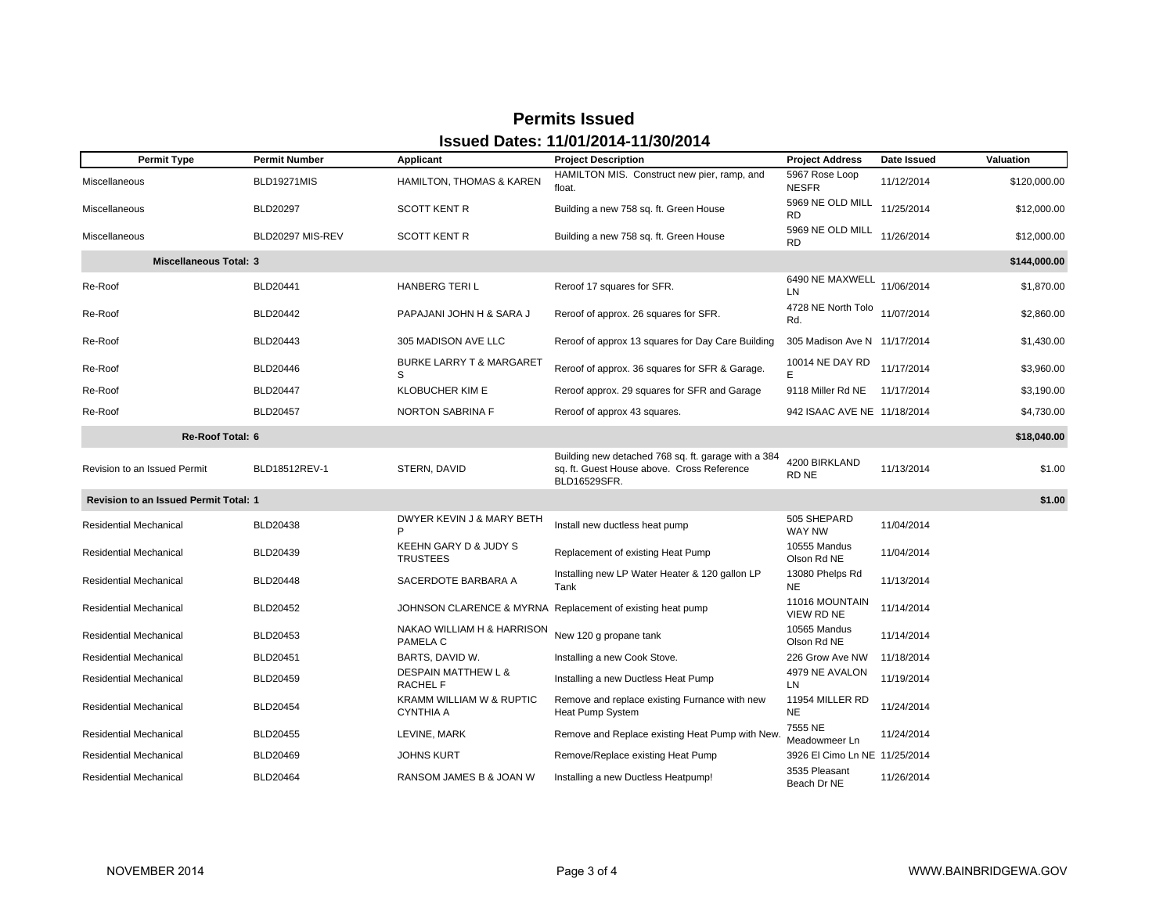| <b>Permit Type</b>                    | <b>Permit Number</b> | Applicant                                         | <b>Project Description</b>                                                                                        | <b>Project Address</b>              | Date Issued | Valuation    |
|---------------------------------------|----------------------|---------------------------------------------------|-------------------------------------------------------------------------------------------------------------------|-------------------------------------|-------------|--------------|
| Miscellaneous                         | BLD19271MIS          | HAMILTON, THOMAS & KAREN                          | HAMILTON MIS. Construct new pier, ramp, and<br>float.                                                             | 5967 Rose Loop<br><b>NESFR</b>      | 11/12/2014  | \$120,000.00 |
| Miscellaneous                         | BLD20297             | <b>SCOTT KENT R</b>                               | Building a new 758 sq. ft. Green House                                                                            | 5969 NE OLD MILL<br><b>RD</b>       | 11/25/2014  | \$12,000.00  |
| Miscellaneous                         | BLD20297 MIS-REV     | <b>SCOTT KENT R</b>                               | Building a new 758 sq. ft. Green House                                                                            | 5969 NE OLD MILL<br><b>RD</b>       | 11/26/2014  | \$12,000.00  |
| <b>Miscellaneous Total: 3</b>         |                      |                                                   |                                                                                                                   |                                     |             | \$144,000.00 |
| Re-Roof                               | BLD20441             | <b>HANBERG TERIL</b>                              | Reroof 17 squares for SFR.                                                                                        | 6490 NE MAXWELL<br>LN.              | 11/06/2014  | \$1,870.00   |
| Re-Roof                               | BLD20442             | PAPAJANI JOHN H & SARA J                          | Reroof of approx. 26 squares for SFR.                                                                             | 4728 NE North Tolo<br>Rd.           | 11/07/2014  | \$2,860.00   |
| Re-Roof                               | <b>BLD20443</b>      | 305 MADISON AVE LLC                               | Reroof of approx 13 squares for Day Care Building                                                                 | 305 Madison Ave N 11/17/2014        |             | \$1,430.00   |
| Re-Roof                               | <b>BLD20446</b>      | <b>BURKE LARRY T &amp; MARGARET</b><br>S          | Reroof of approx. 36 squares for SFR & Garage.                                                                    | 10014 NE DAY RD                     | 11/17/2014  | \$3,960.00   |
| Re-Roof                               | <b>BLD20447</b>      | <b>KLOBUCHER KIM E</b>                            | Reroof approx. 29 squares for SFR and Garage                                                                      | 9118 Miller Rd NE                   | 11/17/2014  | \$3,190.00   |
| Re-Roof                               | <b>BLD20457</b>      | <b>NORTON SABRINA F</b>                           | Reroof of approx 43 squares.                                                                                      | 942 ISAAC AVE NE 11/18/2014         |             | \$4,730.00   |
| <b>Re-Roof Total: 6</b>               |                      |                                                   |                                                                                                                   |                                     |             | \$18,040.00  |
| Revision to an Issued Permit          | BLD18512REV-1        | STERN, DAVID                                      | Building new detached 768 sq. ft. garage with a 384<br>sq. ft. Guest House above. Cross Reference<br>BLD16529SFR. | 4200 BIRKLAND<br>RD NE              | 11/13/2014  | \$1.00       |
| Revision to an Issued Permit Total: 1 |                      |                                                   |                                                                                                                   |                                     |             | \$1.00       |
| <b>Residential Mechanical</b>         | <b>BLD20438</b>      | DWYER KEVIN J & MARY BETH                         | Install new ductless heat pump                                                                                    | 505 SHEPARD<br>WAY NW               | 11/04/2014  |              |
| <b>Residential Mechanical</b>         | BLD20439             | KEEHN GARY D & JUDY S<br><b>TRUSTEES</b>          | Replacement of existing Heat Pump                                                                                 | 10555 Mandus<br>Olson Rd NE         | 11/04/2014  |              |
| <b>Residential Mechanical</b>         | <b>BLD20448</b>      | SACERDOTE BARBARA A                               | Installing new LP Water Heater & 120 gallon LP<br>Tank                                                            | 13080 Phelps Rd<br><b>NE</b>        | 11/13/2014  |              |
| <b>Residential Mechanical</b>         | <b>BLD20452</b>      |                                                   | JOHNSON CLARENCE & MYRNA Replacement of existing heat pump                                                        | 11016 MOUNTAIN<br><b>VIEW RD NE</b> | 11/14/2014  |              |
| <b>Residential Mechanical</b>         | <b>BLD20453</b>      | NAKAO WILLIAM H & HARRISON<br>PAMELA C            | New 120 g propane tank                                                                                            | 10565 Mandus<br>Olson Rd NE         | 11/14/2014  |              |
| <b>Residential Mechanical</b>         | BLD20451             | BARTS, DAVID W.                                   | Installing a new Cook Stove.                                                                                      | 226 Grow Ave NW                     | 11/18/2014  |              |
| <b>Residential Mechanical</b>         | BLD20459             | <b>DESPAIN MATTHEW L &amp;</b><br><b>RACHEL F</b> | Installing a new Ductless Heat Pump                                                                               | 4979 NE AVALON<br>LN.               | 11/19/2014  |              |
| <b>Residential Mechanical</b>         | BLD20454             | KRAMM WILLIAM W & RUPTIC<br><b>CYNTHIA A</b>      | Remove and replace existing Furnance with new<br>Heat Pump System                                                 | 11954 MILLER RD<br><b>NE</b>        | 11/24/2014  |              |
| <b>Residential Mechanical</b>         | <b>BLD20455</b>      | LEVINE, MARK                                      | Remove and Replace existing Heat Pump with New.                                                                   | 7555 NE<br>Meadowmeer Ln            | 11/24/2014  |              |
| <b>Residential Mechanical</b>         | BLD20469             | <b>JOHNS KURT</b>                                 | Remove/Replace existing Heat Pump                                                                                 | 3926 El Cimo Ln NE 11/25/2014       |             |              |
| <b>Residential Mechanical</b>         | BLD20464             | RANSOM JAMES B & JOAN W                           | Installing a new Ductless Heatpump!                                                                               | 3535 Pleasant<br>Beach Dr NE        | 11/26/2014  |              |

#### **Permits Issued Issued Dates: 11/01/2014-11/30/2014**